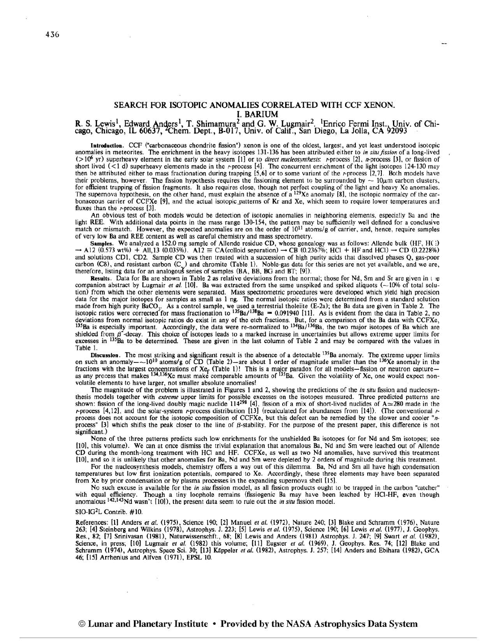## SEARCH FOR ISOTOPIC ANOMALIES CORRELATED WITH CCF XENON. I. BARIUM

R. S. Lewis<sup>1</sup>, Edward Anders<sup>1</sup>, T. Shimamura<sup>2</sup> and G. W. Lugmair<sup>2</sup>, <sup>1</sup>Enrico Fermi Inst., Univ. of Chicago, Chicago, IL 60637, <sup>2</sup>Chem. Dept., B-017, Univ. of Calif., San Diego, La Jolla, CA 92093

**Introduction.** CCF ("carbonaceous chondrite fission") xenon is one of the oldest, largest, and yet least understood isotopic anomalies in meteorites. The enrichment in the heavy isotopes 131-136 has been attributed either to *in situ fission* of a long-lived (>10° yr) superheavy element in the early solar system [1] or to *direct nucleosynthesis*: r-process [2], *n*-process [3], or fission of short lived (<1 d) superheavy elements made in the r-process [4]. The concurrent enri then be attributed either to mass fractionation during trapping [5,6] or to some variant of the *r*-process [2,7]. Both models have<br>their problems, however. The fission hypothesis requires the fissioning element to be sur their problems, however. The fission hypothesis requires the fissioning element to be surrounded by  $\sim 10\mu$ m carbon clusters, for efficient trapping of fission fragments. It also requires close, though not perfect coupl bonaceous carrier of CCFXe [9], and the actual isotopic patterns of Kr and Xe, which seem to require lower temperatures and fluxes than the *r*-process [3].

An obvious test of both models would be detection of isotopic anomalies in neighboring elements, especially Ba and the light REE. With additional data points in the mass range 130-154, the pattern may be suRciently well defined for a conclusive match or mismatch. However, the expected anomalies are on the order of  $10^{11}$  atoms/g of carrier, and, hence, require samples of very low Ba and REE content as well as careful chemistry and mass spectrometry.<br>Samples. We analyzed a 152.0 mg sample of Allende residue CD, whose genealogy was as follows: Allende bulk (HF, H(;)

 $\rightarrow$  A12 (0.573 wt%) + All,13 (0.035%). A12  $\equiv$  CA(colloid separation)  $\rightarrow$  CB (0.2367%; HCl + HF and HCl)  $\rightarrow$  CD (0.2228%) and solutions CD1, CD2. Sample CD was then treated with a succession of high purity acids that dissolved phases Q, gas-poor carbon (CS), and resistant carbon (C<sub>n</sub>) and chromite (Table 1). Noble-gas data for this series are not yet available, and we are, therefore, listing data for an analogous series of samples (BA, BB, BG and BT; [9]).

**Results.** Data for Ba are shown in Table 2 as relative deviations from the normal; those for Nd, Srn and Sr are given in I *:e*  companion abstract by Lugmair *et al.* [10]. Ba was extracted from the same unspiked and spiked aliquots (--10% of total solution) from which the other elements were separated. Mass spectrometric procedures were developed which yield high precision data for the major isotopes for samples as small as 1 ng. The normal isotopic ratios were determined from a standard solution made from high purity  $BaCO_3$ . As a control sample, we used a terrestrial tholeite (E-2a); the Ba data are given in Table 2. The isotopic ratios were corrected for mass fractionation to  $135Ba^{-138}Ba = 0.091940$  [11]. As is e shielded from  $\beta$ -decay. This choice of isotopes leads to a marked increase in uncertainties but allows extreme upper limits for excesses in 135Ba to be determined. These are given in the last column of Table 2 and may b Table 1.

**Discussion**. The most striking and significant result is the absence of a detectable <sup>135</sup>Ba anomaly. The extreme upper limits on such an anomaly  $-$  -10<sup>10</sup> atoms/g of CD (Table 2) —are about 1 order of magnitude smalle fractions with the largest concentrations of Xe<sub>f</sub> (Table 1)! This is a major paradox for all models—fission or neutron capture—<br>as any process that makes <sup>134,136</sup>Xe must make comparable amounts of <sup>135</sup>Ba. Given the vol

The magnitude of the problem is illustrated in Figures 1 and **2,** showing the predictions of the *in siru* fission and nucleosynthesis models together with *extreme* upper limits for possible excesses on the isotopes measured. Three predicted patterns are shown: fission of the long-lived doubly magic nuclide  $114^{298}$  [4], fission of a mix of sho r-process [4,12], and the solar-system r-process distribution [13] (recalculated for abundances from [14]). (The conventional rprocess does not account for the isotopic composition of CCFXe, but this defect can be remedied by the slower and cooler "nprocess"  $[3]$  which shifts the peak closer to the line of  $\beta$ -stability. For the purpose of the present paper, this difference is not significant.)<br>None of the three patterns predicts such low enrichments for the unshielded Ba isotopes (or for Nd and Sm isotopes; see

[10], this volume). We can at once dismiss the trivial explanation that anomalous Ba, Nd and Sm were leached out of Allende CD during the month-long treatment with HCI and HF. CCFXe, as well as two Nd anomalies, have survived this treatment [lo], and so it is unlikely that other anomalies for Ba, Nd and Sm were depleted by 2 orders of magnitude during this treatment.

For the nucleosynthesis models, chemistry offers a way out of this dilemma. Ba, Nd and Sm all have high condensation temperatures but low fist ionization potentials, compared to Xe. Accordingly, these three elements may have been separated from Xe by prior condensation or by plasma processes in the expanding supernova shell [15].

No such excuse is available for the *in situ* fission model, as all fission products ought to be trapped in the carbon "catcher" with equal efficiency. Though a tiny loophole remains (fissiogenic Ba may have been leached by HCI-HF, even though anomalous <sup>142,143</sup>Nd wasn't [10]), the present data seem to rule out the *in situ* fission model.

## $SIO-IG<sup>2</sup>L$  Contrib. #10.

References: [l] Anders *et a/.* (1979, Science 190; [21 Manuel **el** *al.* (19721, Nature 240; [3] Blake and Schramm (1976), Nature 263; [4] Steinberg and Wilkins (1978), Astrophys. J. 223; [5] Lewis *et al.* (1975), Science 190; [6] Lewis *et al.* (1977), J. Geophys. Res., 82; [7] Srinivasan (1981), Natunvissenschft., 68; [81 Lewis and Anders (1981) Astrophys. J. 247; [91 Swart *et al.* (19821, Science, in press; [lo] Lugmair *et al.* (1982) this volume; [Ill Eugster *et a/.* (1969), *J.* Geophys. Res. 74; [12] Blake and Schramm (1974), Astrophys. Space Sci. 30; [13] Käppeler *et al.* (1982), Astrophys. J. 257; [14] Anders and Ebihara (1982), GCA 46; (151 Arrhenius and Alfven (1971), EPSL 10.